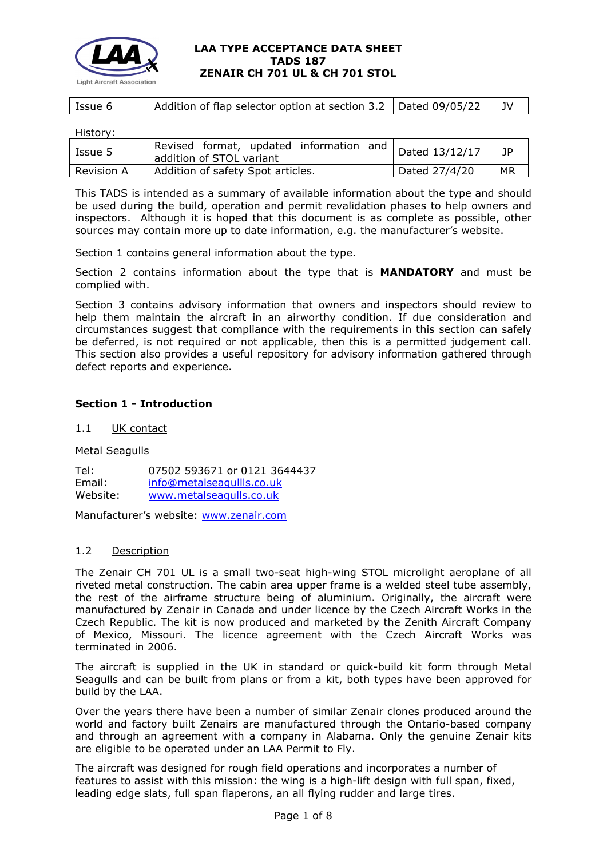

|  | Addition of flap selector option at section 3.2   Dated 09/05/22 |
|--|------------------------------------------------------------------|

History:

| Issue 5    | Revised format, updated information and   Dated 13/12/17<br>addition of STOL variant |               | 1P |
|------------|--------------------------------------------------------------------------------------|---------------|----|
| Revision A | Addition of safety Spot articles.                                                    | Dated 27/4/20 | MR |

This TADS is intended as a summary of available information about the type and should be used during the build, operation and permit revalidation phases to help owners and inspectors. Although it is hoped that this document is as complete as possible, other sources may contain more up to date information, e.g. the manufacturer's website.

Section 1 contains general information about the type.

Section 2 contains information about the type that is **MANDATORY** and must be complied with.

Section 3 contains advisory information that owners and inspectors should review to help them maintain the aircraft in an airworthy condition. If due consideration and circumstances suggest that compliance with the requirements in this section can safely be deferred, is not required or not applicable, then this is a permitted judgement call. This section also provides a useful repository for advisory information gathered through defect reports and experience.

# **Section 1 - Introduction**

1.1 UK contact

Metal Seagulls

Tel: 07502 593671 or 0121 3644437 Email: info@metalseagullls.co.uk<br>Website: www.metalseagulls.co.uk www.metalseagulls.co.uk

Manufacturer's website: [www.zenair.com](http://www.zenair.com/)

## 1.2 Description

The Zenair CH 701 UL is a small two-seat high-wing STOL microlight aeroplane of all riveted metal construction. The cabin area upper frame is a welded steel tube assembly, the rest of the airframe structure being of aluminium. Originally, the aircraft were manufactured by Zenair in Canada and under licence by the Czech Aircraft Works in the Czech Republic. The kit is now produced and marketed by the Zenith Aircraft Company of Mexico, Missouri. The licence agreement with the Czech Aircraft Works was terminated in 2006.

The aircraft is supplied in the UK in standard or quick-build kit form through Metal Seagulls and can be built from plans or from a kit, both types have been approved for build by the LAA.

Over the years there have been a number of similar Zenair clones produced around the world and factory built Zenairs are manufactured through the Ontario-based company and through an agreement with a company in Alabama. Only the genuine Zenair kits are eligible to be operated under an LAA Permit to Fly.

The aircraft was designed for rough field operations and incorporates a number of features to assist with this mission: the wing is a high-lift design with full span, fixed, leading edge slats, full span flaperons, an all flying rudder and large tires.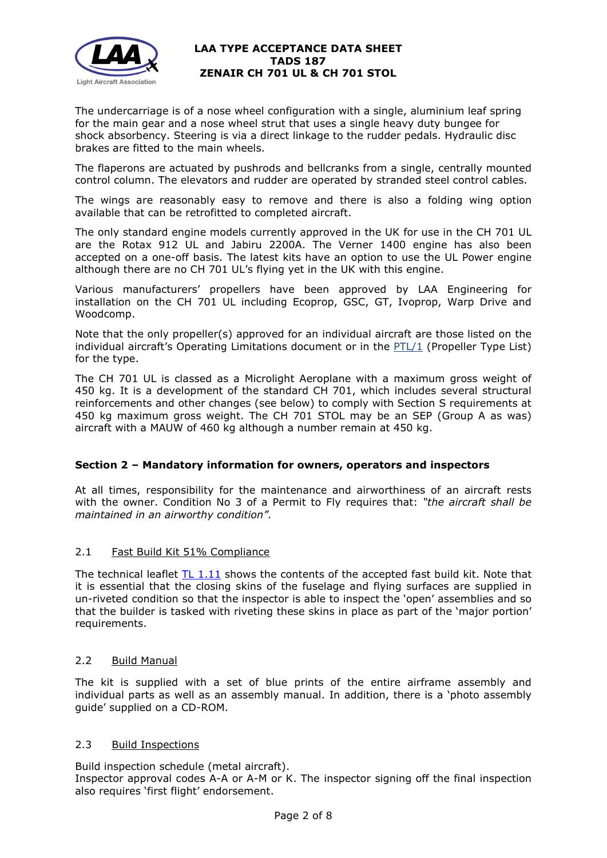

The undercarriage is of a nose wheel configuration with a single, aluminium leaf spring for the main gear and a nose wheel strut that uses a single heavy duty bungee for shock absorbency. Steering is via a direct linkage to the rudder pedals. Hydraulic disc brakes are fitted to the main wheels.

The flaperons are actuated by pushrods and bellcranks from a single, centrally mounted control column. The elevators and rudder are operated by stranded steel control cables.

The wings are reasonably easy to remove and there is also a folding wing option available that can be retrofitted to completed aircraft.

The only standard engine models currently approved in the UK for use in the CH 701 UL are the Rotax 912 UL and Jabiru 2200A. The Verner 1400 engine has also been accepted on a one-off basis. The latest kits have an option to use the UL Power engine although there are no CH 701 UL's flying yet in the UK with this engine.

Various manufacturers' propellers have been approved by LAA Engineering for installation on the CH 701 UL including Ecoprop, GSC, GT, Ivoprop, Warp Drive and Woodcomp.

Note that the only propeller(s) approved for an individual aircraft are those listed on the individual aircraft's Operating Limitations document or in the [PTL/1](http://www.lightaircraftassociation.co.uk/engineering/NewMods/PTL.html) (Propeller Type List) for the type.

The CH 701 UL is classed as a Microlight Aeroplane with a maximum gross weight of 450 kg. It is a development of the standard CH 701, which includes several structural reinforcements and other changes (see below) to comply with Section S requirements at 450 kg maximum gross weight. The CH 701 STOL may be an SEP (Group A as was) aircraft with a MAUW of 460 kg although a number remain at 450 kg.

# **Section 2 – Mandatory information for owners, operators and inspectors**

At all times, responsibility for the maintenance and airworthiness of an aircraft rests with the owner. Condition No 3 of a Permit to Fly requires that: *"the aircraft shall be maintained in an airworthy condition".* 

## 2.1 Fast Build Kit 51% Compliance

The technical leaflet [TL 1.11](http://www.lightaircraftassociation.co.uk/engineering/TechnicalLeaflets/Building,%20Buying%20or%20Importing/TL%201.11%20Verification%20of%20Kit%20Build%20Standard.pdf) shows the contents of the accepted fast build kit. Note that it is essential that the closing skins of the fuselage and flying surfaces are supplied in un-riveted condition so that the inspector is able to inspect the 'open' assemblies and so that the builder is tasked with riveting these skins in place as part of the 'major portion' requirements.

## 2.2 Build Manual

The kit is supplied with a set of blue prints of the entire airframe assembly and individual parts as well as an assembly manual. In addition, there is a 'photo assembly guide' supplied on a CD-ROM.

## 2.3 Build Inspections

Build inspection schedule (metal aircraft). Inspector approval codes A-A or A-M or K. The inspector signing off the final inspection also requires 'first flight' endorsement.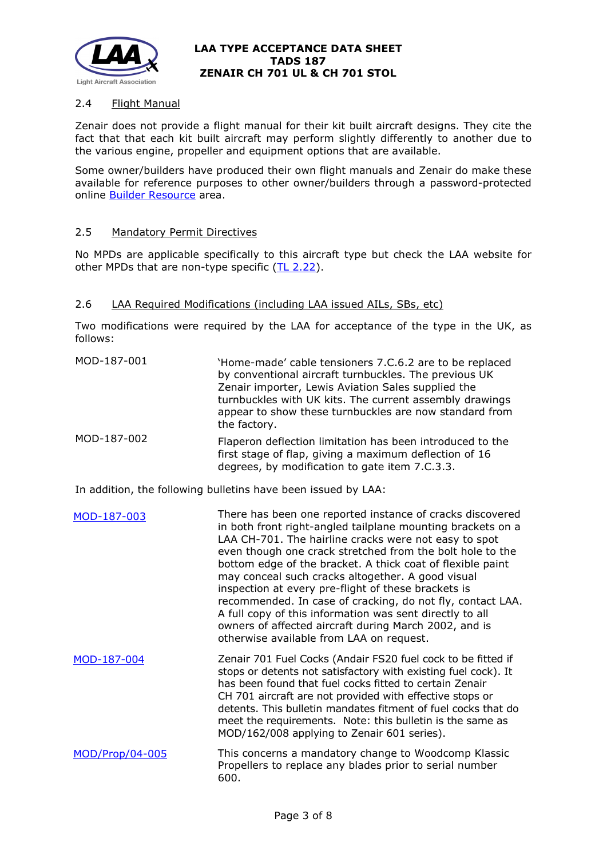

# 2.4 Flight Manual

Zenair does not provide a flight manual for their kit built aircraft designs. They cite the fact that that each kit built aircraft may perform slightly differently to another due to the various engine, propeller and equipment options that are available.

Some owner/builders have produced their own flight manuals and Zenair do make these available for reference purposes to other owner/builders through a password-protected online **[Builder Resource](http://www.zenithair.com/bldr/index.html)** area.

### 2.5 Mandatory Permit Directives

No MPDs are applicable specifically to this aircraft type but check the LAA website for other MPDs that are non-type specific  $(IL 2.22)$ .

### 2.6 LAA Required Modifications (including LAA issued AILs, SBs, etc)

Two modifications were required by the LAA for acceptance of the type in the UK, as follows:

| MOD-187-001 | 'Home-made' cable tensioners 7.C.6.2 are to be replaced<br>by conventional aircraft turnbuckles. The previous UK<br>Zenair importer, Lewis Aviation Sales supplied the<br>turnbuckles with UK kits. The current assembly drawings<br>appear to show these turnbuckles are now standard from<br>the factory.                                                                                                                                                                                                                                                                                                                                             |
|-------------|---------------------------------------------------------------------------------------------------------------------------------------------------------------------------------------------------------------------------------------------------------------------------------------------------------------------------------------------------------------------------------------------------------------------------------------------------------------------------------------------------------------------------------------------------------------------------------------------------------------------------------------------------------|
| MOD-187-002 | Flaperon deflection limitation has been introduced to the<br>first stage of flap, giving a maximum deflection of 16<br>degrees, by modification to gate item 7.C.3.3.                                                                                                                                                                                                                                                                                                                                                                                                                                                                                   |
|             | In addition, the following bulletins have been issued by LAA:                                                                                                                                                                                                                                                                                                                                                                                                                                                                                                                                                                                           |
| MOD-187-003 | There has been one reported instance of cracks discovered<br>in both front right-angled tailplane mounting brackets on a<br>LAA CH-701. The hairline cracks were not easy to spot<br>even though one crack stretched from the bolt hole to the<br>bottom edge of the bracket. A thick coat of flexible paint<br>may conceal such cracks altogether. A good visual<br>inspection at every pre-flight of these brackets is<br>recommended. In case of cracking, do not fly, contact LAA.<br>A full copy of this information was sent directly to all<br>owners of affected aircraft during March 2002, and is<br>otherwise available from LAA on request. |
| MOD-187-004 | Zenair 701 Fuel Cocks (Andair FS20 fuel cock to be fitted if<br>stops or detents not satisfactory with existing fuel cock). It<br>has been found that fuel cocks fitted to certain Zenair<br>CH 701 aircraft are not provided with effective stops or<br>detents. This bulletin mandates fitment of fuel cocks that do<br>meet the requirements. Note: this bulletin is the same as<br>MOD/162/008 applying to Zenair 601 series).                                                                                                                                                                                                                      |

[MOD/Prop/04-005](http://www.lightaircraftassociation.co.uk/engineering/TADs/187/Mod%20187%20-%20005.pdf) This concerns a mandatory change to Woodcomp Klassic Propellers to replace any blades prior to serial number 600.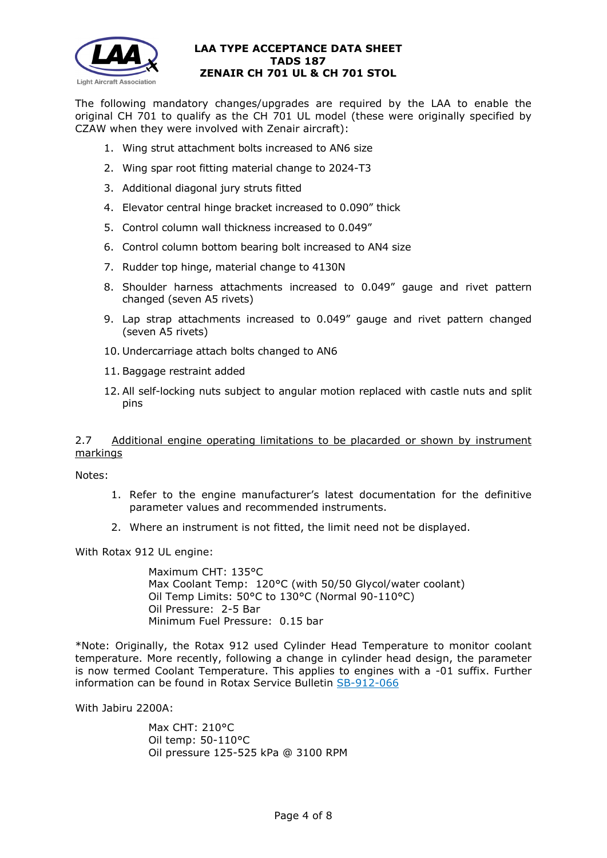

The following mandatory changes/upgrades are required by the LAA to enable the original CH 701 to qualify as the CH 701 UL model (these were originally specified by CZAW when they were involved with Zenair aircraft):

- 1. Wing strut attachment bolts increased to AN6 size
- 2. Wing spar root fitting material change to 2024-T3
- 3. Additional diagonal jury struts fitted
- 4. Elevator central hinge bracket increased to 0.090" thick
- 5. Control column wall thickness increased to 0.049"
- 6. Control column bottom bearing bolt increased to AN4 size
- 7. Rudder top hinge, material change to 4130N
- 8. Shoulder harness attachments increased to 0.049" gauge and rivet pattern changed (seven A5 rivets)
- 9. Lap strap attachments increased to 0.049" gauge and rivet pattern changed (seven A5 rivets)
- 10. Undercarriage attach bolts changed to AN6
- 11. Baggage restraint added
- 12. All self-locking nuts subject to angular motion replaced with castle nuts and split pins

2.7 Additional engine operating limitations to be placarded or shown by instrument markings

Notes:

- 1. Refer to the engine manufacturer's latest documentation for the definitive parameter values and recommended instruments.
- 2. Where an instrument is not fitted, the limit need not be displayed.

With Rotax 912 UL engine:

Maximum CHT: 135°C Max Coolant Temp: 120°C (with 50/50 Glycol/water coolant) Oil Temp Limits: 50°C to 130°C (Normal 90-110°C) Oil Pressure: 2-5 Bar Minimum Fuel Pressure: 0.15 bar

\*Note: Originally, the Rotax 912 used Cylinder Head Temperature to monitor coolant temperature. More recently, following a change in cylinder head design, the parameter is now termed Coolant Temperature. This applies to engines with a -01 suffix. Further information can be found in Rotax Service Bulletin [SB-912-066](http://www.lightaircraftassociation.co.uk/engineering/TADs/E02%20ROTAX%204-STROKE/E02/SB-912-066UL%20R1.pdf)

With Jabiru 2200A:

Max CHT: 210°C Oil temp: 50-110°C Oil pressure 125-525 kPa @ 3100 RPM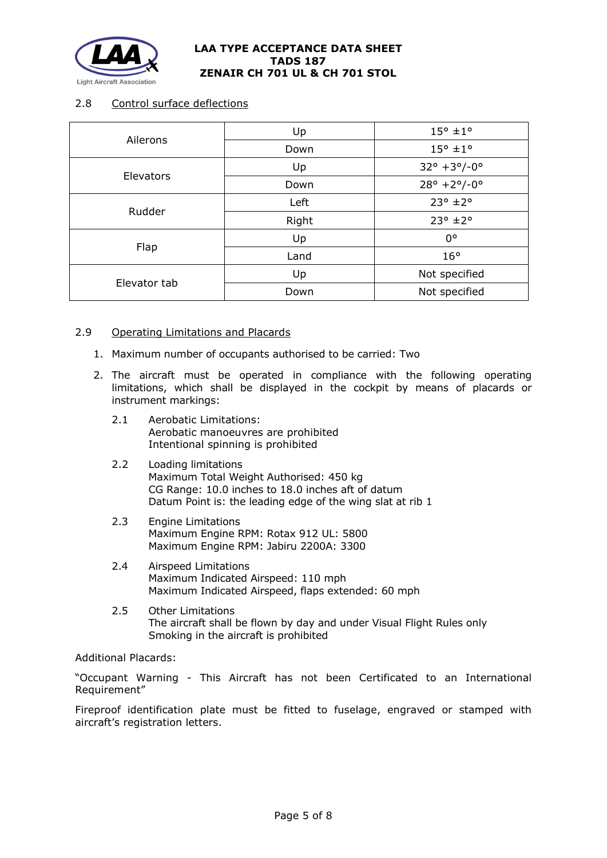

# 2.8 Control surface deflections

| Ailerons     | Up    | $15^{\circ}$ ±1°                    |
|--------------|-------|-------------------------------------|
|              | Down  | $15^{\circ}$ ±1°                    |
| Elevators    | Up    | $32^{\circ} + 3^{\circ}/-0^{\circ}$ |
|              | Down  | $28^{\circ}$ +2°/-0°                |
| Rudder       | Left  | $23^{\circ}$ ±2°                    |
|              | Right | $23^{\circ}$ ±2°                    |
| Flap         | Up    | $0^{\circ}$                         |
|              | Land  | $16^{\circ}$                        |
| Elevator tab | Up    | Not specified                       |
|              | Down  | Not specified                       |

## 2.9 Operating Limitations and Placards

- 1. Maximum number of occupants authorised to be carried: Two
- 2. The aircraft must be operated in compliance with the following operating limitations, which shall be displayed in the cockpit by means of placards or instrument markings:
	- 2.1 Aerobatic Limitations: Aerobatic manoeuvres are prohibited Intentional spinning is prohibited
	- 2.2 Loading limitations Maximum Total Weight Authorised: 450 kg CG Range: 10.0 inches to 18.0 inches aft of datum Datum Point is: the leading edge of the wing slat at rib 1
	- 2.3 Engine Limitations Maximum Engine RPM: Rotax 912 UL: 5800 Maximum Engine RPM: Jabiru 2200A: 3300
	- 2.4 Airspeed Limitations Maximum Indicated Airspeed: 110 mph Maximum Indicated Airspeed, flaps extended: 60 mph<br>2.5 Other Limitations
	- **Other Limitations** The aircraft shall be flown by day and under Visual Flight Rules only Smoking in the aircraft is prohibited

Additional Placards:

"Occupant Warning - This Aircraft has not been Certificated to an International Requirement"

Fireproof identification plate must be fitted to fuselage, engraved or stamped with aircraft's registration letters.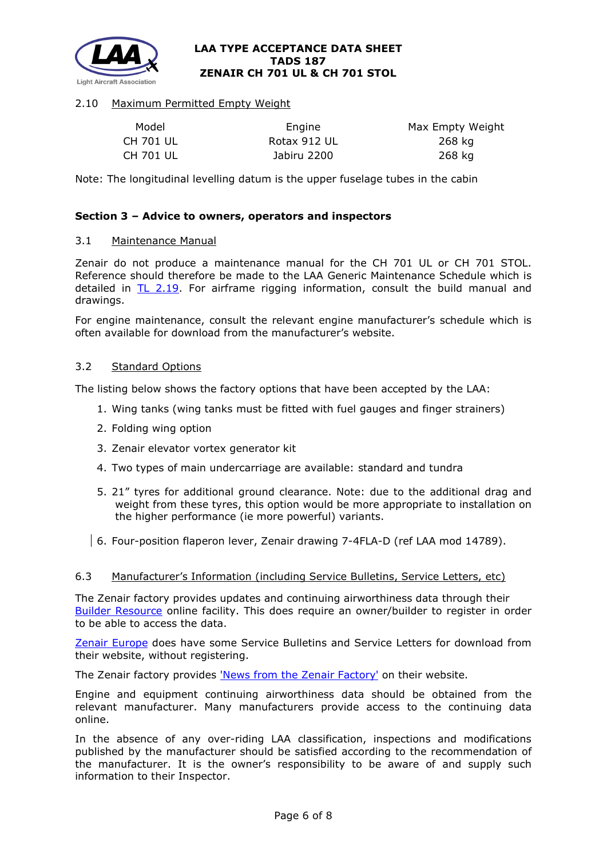

# 2.10 Maximum Permitted Empty Weight

| Model     | Engine       | Max Empty Weight |
|-----------|--------------|------------------|
| CH 701 UL | Rotax 912 UL | 268 ka           |
| CH 701 UL | Jabiru 2200  | 268 kg           |

Note: The longitudinal levelling datum is the upper fuselage tubes in the cabin

## **Section 3 – Advice to owners, operators and inspectors**

### 3.1 Maintenance Manual

Zenair do not produce a maintenance manual for the CH 701 UL or CH 701 STOL. Reference should therefore be made to the LAA Generic Maintenance Schedule which is detailed in [TL 2.19.](http://www.lightaircraftassociation.co.uk/engineering/TechnicalLeaflets/Operating%20An%20Aircraft/TL%202.19%20The%20LAA%20Generic%20Maintenance%20Schedule.pdf) For airframe rigging information, consult the build manual and drawings.

For engine maintenance, consult the relevant engine manufacturer's schedule which is often available for download from the manufacturer's website.

### 3.2 Standard Options

The listing below shows the factory options that have been accepted by the LAA:

- 1. Wing tanks (wing tanks must be fitted with fuel gauges and finger strainers)
- 2. Folding wing option
- 3. Zenair elevator vortex generator kit
- 4. Two types of main undercarriage are available: standard and tundra
- 5. 21" tyres for additional ground clearance. Note: due to the additional drag and weight from these tyres, this option would be more appropriate to installation on the higher performance (ie more powerful) variants.
- 6. Four-position flaperon lever, Zenair drawing 7-4FLA-D (ref LAA mod 14789).

## 6.3 Manufacturer's Information (including Service Bulletins, Service Letters, etc)

The Zenair factory provides updates and continuing airworthiness data through their [Builder Resource](http://www.zenithair.com/bldr/index.html) online facility. This does require an owner/builder to register in order to be able to access the data.

[Zenair Europe](http://www.zenairulm.com/service-bulletins--letters.html) does have some Service Bulletins and Service Letters for download from their website, without registering.

The Zenair factory provides ['News from the Zenair Factory'](http://zenair.weebly.com/news-from-zenair.html) on their website.

Engine and equipment continuing airworthiness data should be obtained from the relevant manufacturer. Many manufacturers provide access to the continuing data online.

In the absence of any over-riding LAA classification, inspections and modifications published by the manufacturer should be satisfied according to the recommendation of the manufacturer. It is the owner's responsibility to be aware of and supply such information to their Inspector.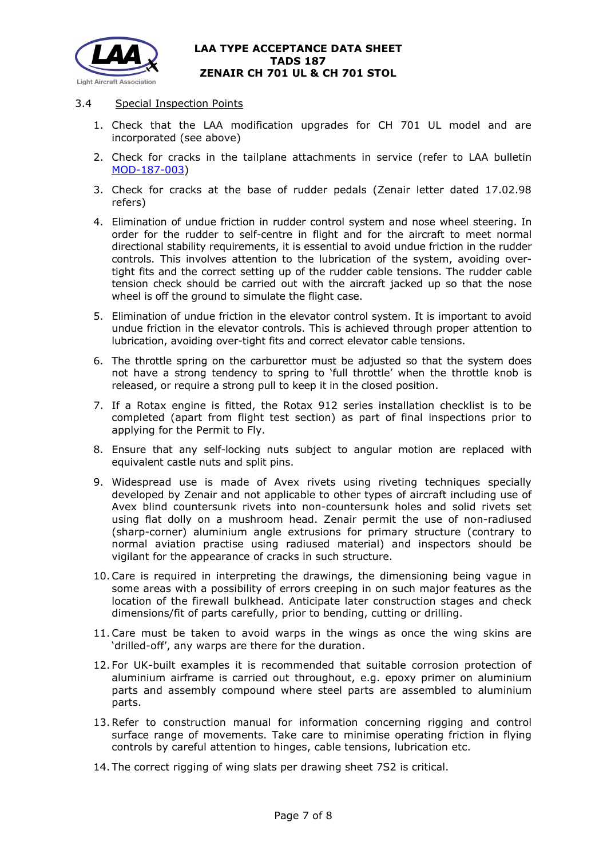

## 3.4 Special Inspection Points

- 1. Check that the LAA modification upgrades for CH 701 UL model and are incorporated (see above)
- 2. Check for cracks in the tailplane attachments in service (refer to LAA bulletin [MOD-187-003\)](http://www.lightaircraftassociation.co.uk/engineering/TADs/187%20ZENAIR%20CH%20701%20UL%20CH%20701%20STOL/187/Mod%20187%20-%20003.pdf)
- 3. Check for cracks at the base of rudder pedals (Zenair letter dated 17.02.98 refers)
- 4. Elimination of undue friction in rudder control system and nose wheel steering. In order for the rudder to self-centre in flight and for the aircraft to meet normal directional stability requirements, it is essential to avoid undue friction in the rudder controls. This involves attention to the lubrication of the system, avoiding overtight fits and the correct setting up of the rudder cable tensions. The rudder cable tension check should be carried out with the aircraft jacked up so that the nose wheel is off the ground to simulate the flight case.
- 5. Elimination of undue friction in the elevator control system. It is important to avoid undue friction in the elevator controls. This is achieved through proper attention to lubrication, avoiding over-tight fits and correct elevator cable tensions.
- 6. The throttle spring on the carburettor must be adjusted so that the system does not have a strong tendency to spring to 'full throttle' when the throttle knob is released, or require a strong pull to keep it in the closed position.
- 7. If a Rotax engine is fitted, the Rotax 912 series installation checklist is to be completed (apart from flight test section) as part of final inspections prior to applying for the Permit to Fly.
- 8. Ensure that any self-locking nuts subject to angular motion are replaced with equivalent castle nuts and split pins.
- 9. Widespread use is made of Avex rivets using riveting techniques specially developed by Zenair and not applicable to other types of aircraft including use of Avex blind countersunk rivets into non-countersunk holes and solid rivets set using flat dolly on a mushroom head. Zenair permit the use of non-radiused (sharp-corner) aluminium angle extrusions for primary structure (contrary to normal aviation practise using radiused material) and inspectors should be vigilant for the appearance of cracks in such structure.
- 10.Care is required in interpreting the drawings, the dimensioning being vague in some areas with a possibility of errors creeping in on such major features as the location of the firewall bulkhead. Anticipate later construction stages and check dimensions/fit of parts carefully, prior to bending, cutting or drilling.
- 11.Care must be taken to avoid warps in the wings as once the wing skins are 'drilled-off', any warps are there for the duration.
- 12. For UK-built examples it is recommended that suitable corrosion protection of aluminium airframe is carried out throughout, e.g. epoxy primer on aluminium parts and assembly compound where steel parts are assembled to aluminium parts.
- 13.Refer to construction manual for information concerning rigging and control surface range of movements. Take care to minimise operating friction in flying controls by careful attention to hinges, cable tensions, lubrication etc.
- 14. The correct rigging of wing slats per drawing sheet 7S2 is critical.